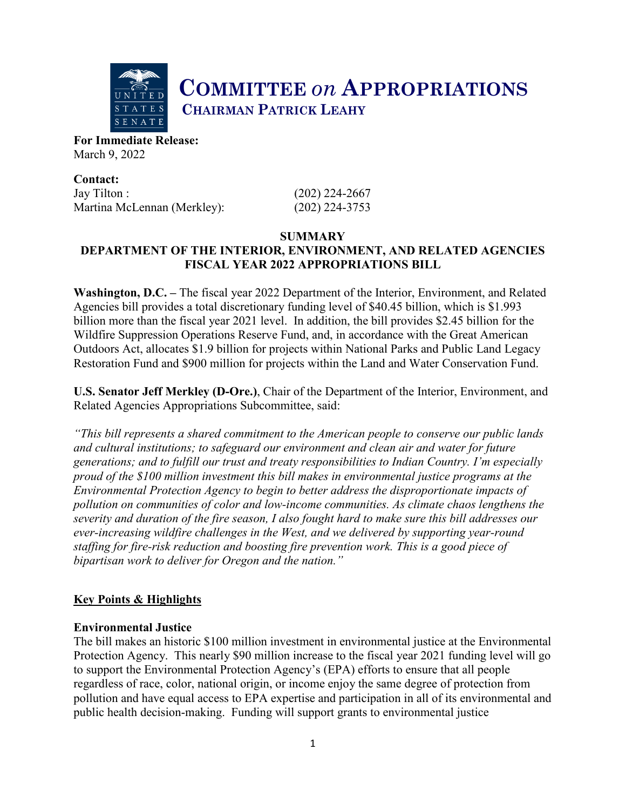

**COMMITTEE** *on* **APPROPRIATIONS CHAIRMAN PATRICK LEAHY** 

**For Immediate Release:**  March 9, 2022

**Contact:** Jay Tilton : (202) 224-2667 Martina McLennan (Merkley): (202) 224-3753

# **SUMMARY DEPARTMENT OF THE INTERIOR, ENVIRONMENT, AND RELATED AGENCIES FISCAL YEAR 2022 APPROPRIATIONS BILL**

**Washington, D.C. –** The fiscal year 2022 Department of the Interior, Environment, and Related Agencies bill provides a total discretionary funding level of \$40.45 billion, which is \$1.993 billion more than the fiscal year 2021 level. In addition, the bill provides \$2.45 billion for the Wildfire Suppression Operations Reserve Fund, and, in accordance with the Great American Outdoors Act, allocates \$1.9 billion for projects within National Parks and Public Land Legacy Restoration Fund and \$900 million for projects within the Land and Water Conservation Fund.

**U.S. Senator Jeff Merkley (D-Ore.)**, Chair of the Department of the Interior, Environment, and Related Agencies Appropriations Subcommittee, said:

*"This bill represents a shared commitment to the American people to conserve our public lands and cultural institutions; to safeguard our environment and clean air and water for future generations; and to fulfill our trust and treaty responsibilities to Indian Country. I'm especially proud of the \$100 million investment this bill makes in environmental justice programs at the Environmental Protection Agency to begin to better address the disproportionate impacts of pollution on communities of color and low-income communities. As climate chaos lengthens the severity and duration of the fire season, I also fought hard to make sure this bill addresses our ever-increasing wildfire challenges in the West, and we delivered by supporting year-round staffing for fire-risk reduction and boosting fire prevention work. This is a good piece of bipartisan work to deliver for Oregon and the nation."*

# **Key Points & Highlights**

## **Environmental Justice**

The bill makes an historic \$100 million investment in environmental justice at the Environmental Protection Agency. This nearly \$90 million increase to the fiscal year 2021 funding level will go to support the Environmental Protection Agency's (EPA) efforts to ensure that all people regardless of race, color, national origin, or income enjoy the same degree of protection from pollution and have equal access to EPA expertise and participation in all of its environmental and public health decision-making. Funding will support grants to environmental justice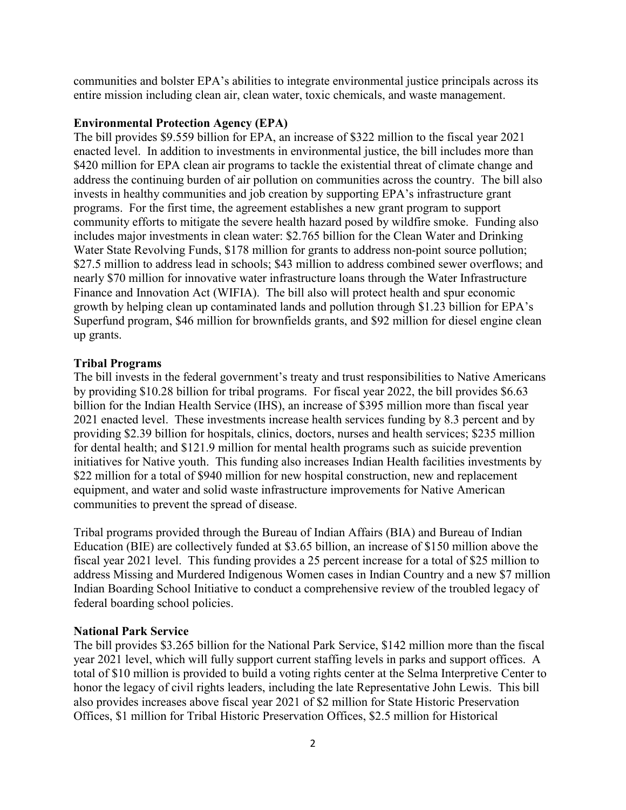communities and bolster EPA's abilities to integrate environmental justice principals across its entire mission including clean air, clean water, toxic chemicals, and waste management.

### **Environmental Protection Agency (EPA)**

The bill provides \$9.559 billion for EPA, an increase of \$322 million to the fiscal year 2021 enacted level. In addition to investments in environmental justice, the bill includes more than \$420 million for EPA clean air programs to tackle the existential threat of climate change and address the continuing burden of air pollution on communities across the country. The bill also invests in healthy communities and job creation by supporting EPA's infrastructure grant programs. For the first time, the agreement establishes a new grant program to support community efforts to mitigate the severe health hazard posed by wildfire smoke. Funding also includes major investments in clean water: \$2.765 billion for the Clean Water and Drinking Water State Revolving Funds, \$178 million for grants to address non-point source pollution; \$27.5 million to address lead in schools; \$43 million to address combined sewer overflows; and nearly \$70 million for innovative water infrastructure loans through the Water Infrastructure Finance and Innovation Act (WIFIA). The bill also will protect health and spur economic growth by helping clean up contaminated lands and pollution through \$1.23 billion for EPA's Superfund program, \$46 million for brownfields grants, and \$92 million for diesel engine clean up grants.

#### **Tribal Programs**

The bill invests in the federal government's treaty and trust responsibilities to Native Americans by providing \$10.28 billion for tribal programs. For fiscal year 2022, the bill provides \$6.63 billion for the Indian Health Service (IHS), an increase of \$395 million more than fiscal year 2021 enacted level. These investments increase health services funding by 8.3 percent and by providing \$2.39 billion for hospitals, clinics, doctors, nurses and health services; \$235 million for dental health; and \$121.9 million for mental health programs such as suicide prevention initiatives for Native youth. This funding also increases Indian Health facilities investments by \$22 million for a total of \$940 million for new hospital construction, new and replacement equipment, and water and solid waste infrastructure improvements for Native American communities to prevent the spread of disease.

Tribal programs provided through the Bureau of Indian Affairs (BIA) and Bureau of Indian Education (BIE) are collectively funded at \$3.65 billion, an increase of \$150 million above the fiscal year 2021 level. This funding provides a 25 percent increase for a total of \$25 million to address Missing and Murdered Indigenous Women cases in Indian Country and a new \$7 million Indian Boarding School Initiative to conduct a comprehensive review of the troubled legacy of federal boarding school policies.

### **National Park Service**

The bill provides \$3.265 billion for the National Park Service, \$142 million more than the fiscal year 2021 level, which will fully support current staffing levels in parks and support offices. A total of \$10 million is provided to build a voting rights center at the Selma Interpretive Center to honor the legacy of civil rights leaders, including the late Representative John Lewis. This bill also provides increases above fiscal year 2021 of \$2 million for State Historic Preservation Offices, \$1 million for Tribal Historic Preservation Offices, \$2.5 million for Historical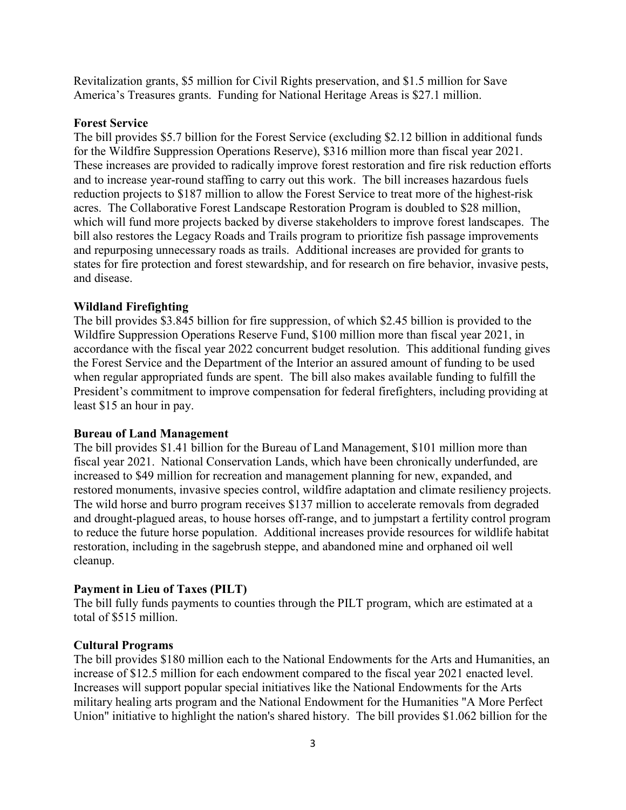Revitalization grants, \$5 million for Civil Rights preservation, and \$1.5 million for Save America's Treasures grants. Funding for National Heritage Areas is \$27.1 million.

### **Forest Service**

The bill provides \$5.7 billion for the Forest Service (excluding \$2.12 billion in additional funds for the Wildfire Suppression Operations Reserve), \$316 million more than fiscal year 2021. These increases are provided to radically improve forest restoration and fire risk reduction efforts and to increase year-round staffing to carry out this work. The bill increases hazardous fuels reduction projects to \$187 million to allow the Forest Service to treat more of the highest-risk acres. The Collaborative Forest Landscape Restoration Program is doubled to \$28 million, which will fund more projects backed by diverse stakeholders to improve forest landscapes. The bill also restores the Legacy Roads and Trails program to prioritize fish passage improvements and repurposing unnecessary roads as trails. Additional increases are provided for grants to states for fire protection and forest stewardship, and for research on fire behavior, invasive pests, and disease.

### **Wildland Firefighting**

The bill provides \$3.845 billion for fire suppression, of which \$2.45 billion is provided to the Wildfire Suppression Operations Reserve Fund, \$100 million more than fiscal year 2021, in accordance with the fiscal year 2022 concurrent budget resolution. This additional funding gives the Forest Service and the Department of the Interior an assured amount of funding to be used when regular appropriated funds are spent. The bill also makes available funding to fulfill the President's commitment to improve compensation for federal firefighters, including providing at least \$15 an hour in pay.

### **Bureau of Land Management**

The bill provides \$1.41 billion for the Bureau of Land Management, \$101 million more than fiscal year 2021. National Conservation Lands, which have been chronically underfunded, are increased to \$49 million for recreation and management planning for new, expanded, and restored monuments, invasive species control, wildfire adaptation and climate resiliency projects. The wild horse and burro program receives \$137 million to accelerate removals from degraded and drought-plagued areas, to house horses off-range, and to jumpstart a fertility control program to reduce the future horse population. Additional increases provide resources for wildlife habitat restoration, including in the sagebrush steppe, and abandoned mine and orphaned oil well cleanup.

#### **Payment in Lieu of Taxes (PILT)**

The bill fully funds payments to counties through the PILT program, which are estimated at a total of \$515 million.

#### **Cultural Programs**

The bill provides \$180 million each to the National Endowments for the Arts and Humanities, an increase of \$12.5 million for each endowment compared to the fiscal year 2021 enacted level. Increases will support popular special initiatives like the National Endowments for the Arts military healing arts program and the National Endowment for the Humanities "A More Perfect Union" initiative to highlight the nation's shared history. The bill provides \$1.062 billion for the